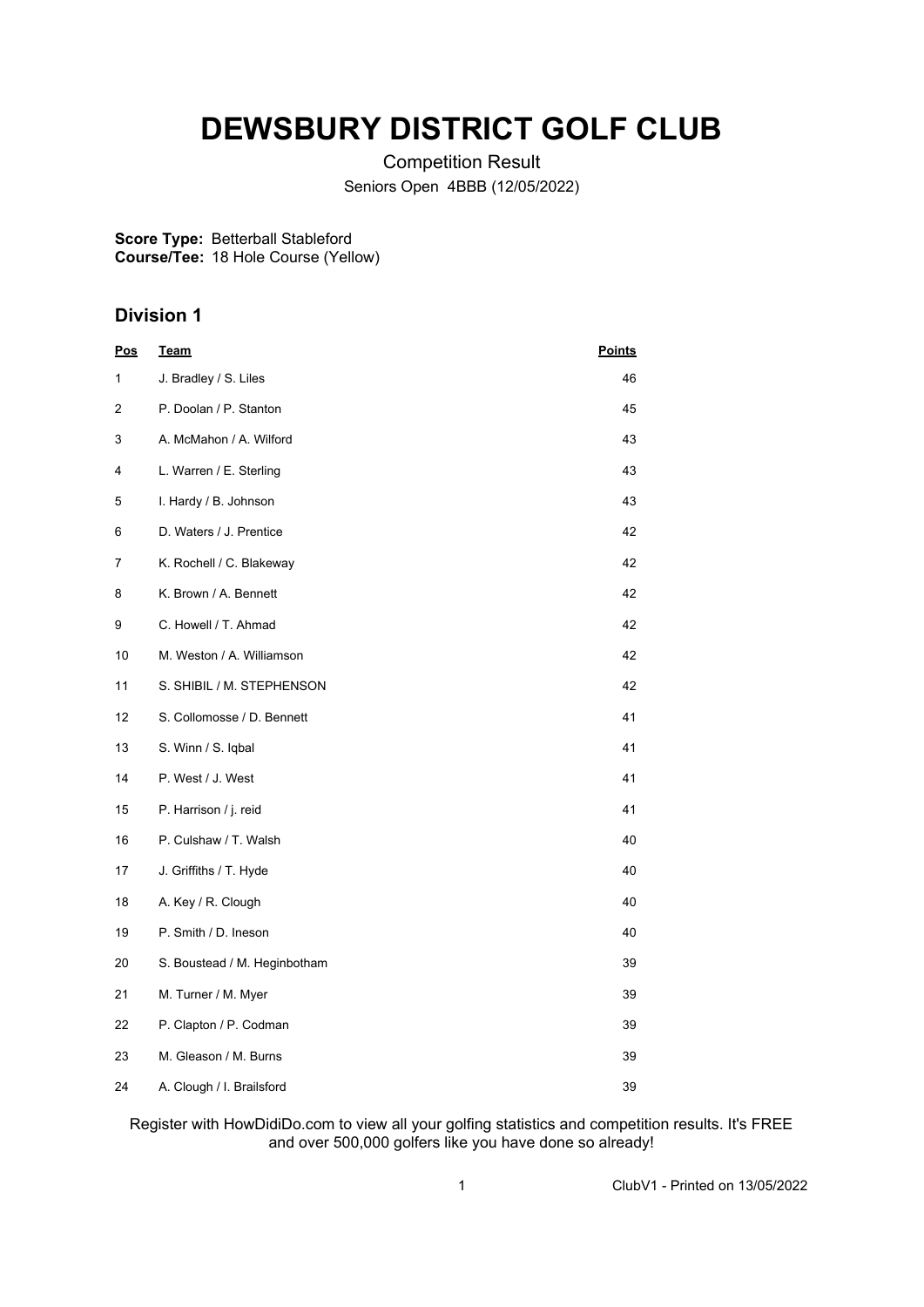# **DEWSBURY DISTRICT GOLF CLUB**

Competition Result Seniors Open 4BBB (12/05/2022)

**Score Type:** Betterball Stableford **Course/Tee:** 18 Hole Course (Yellow)

## **Division 1**

| <u>Pos</u> | <u>Team</u>                  | <b>Points</b> |
|------------|------------------------------|---------------|
| 1          | J. Bradley / S. Liles        | 46            |
| 2          | P. Doolan / P. Stanton       | 45            |
| 3          | A. McMahon / A. Wilford      | 43            |
| 4          | L. Warren / E. Sterling      | 43            |
| 5          | I. Hardy / B. Johnson        | 43            |
| 6          | D. Waters / J. Prentice      | 42            |
| 7          | K. Rochell / C. Blakeway     | 42            |
| 8          | K. Brown / A. Bennett        | 42            |
| 9          | C. Howell / T. Ahmad         | 42            |
| 10         | M. Weston / A. Williamson    | 42            |
| 11         | S. SHIBIL / M. STEPHENSON    | 42            |
| 12         | S. Collomosse / D. Bennett   | 41            |
| 13         | S. Winn / S. Iqbal           | 41            |
| 14         | P. West / J. West            | 41            |
| 15         | P. Harrison / j. reid        | 41            |
| 16         | P. Culshaw / T. Walsh        | 40            |
| 17         | J. Griffiths / T. Hyde       | 40            |
| 18         | A. Key / R. Clough           | 40            |
| 19         | P. Smith / D. Ineson         | 40            |
| 20         | S. Boustead / M. Heginbotham | 39            |
| 21         | M. Turner / M. Myer          | 39            |
| 22         | P. Clapton / P. Codman       | 39            |
| 23         | M. Gleason / M. Burns        | 39            |
| 24         | A. Clough / I. Brailsford    | 39            |

Register with HowDidiDo.com to view all your golfing statistics and competition results. It's FREE and over 500,000 golfers like you have done so already!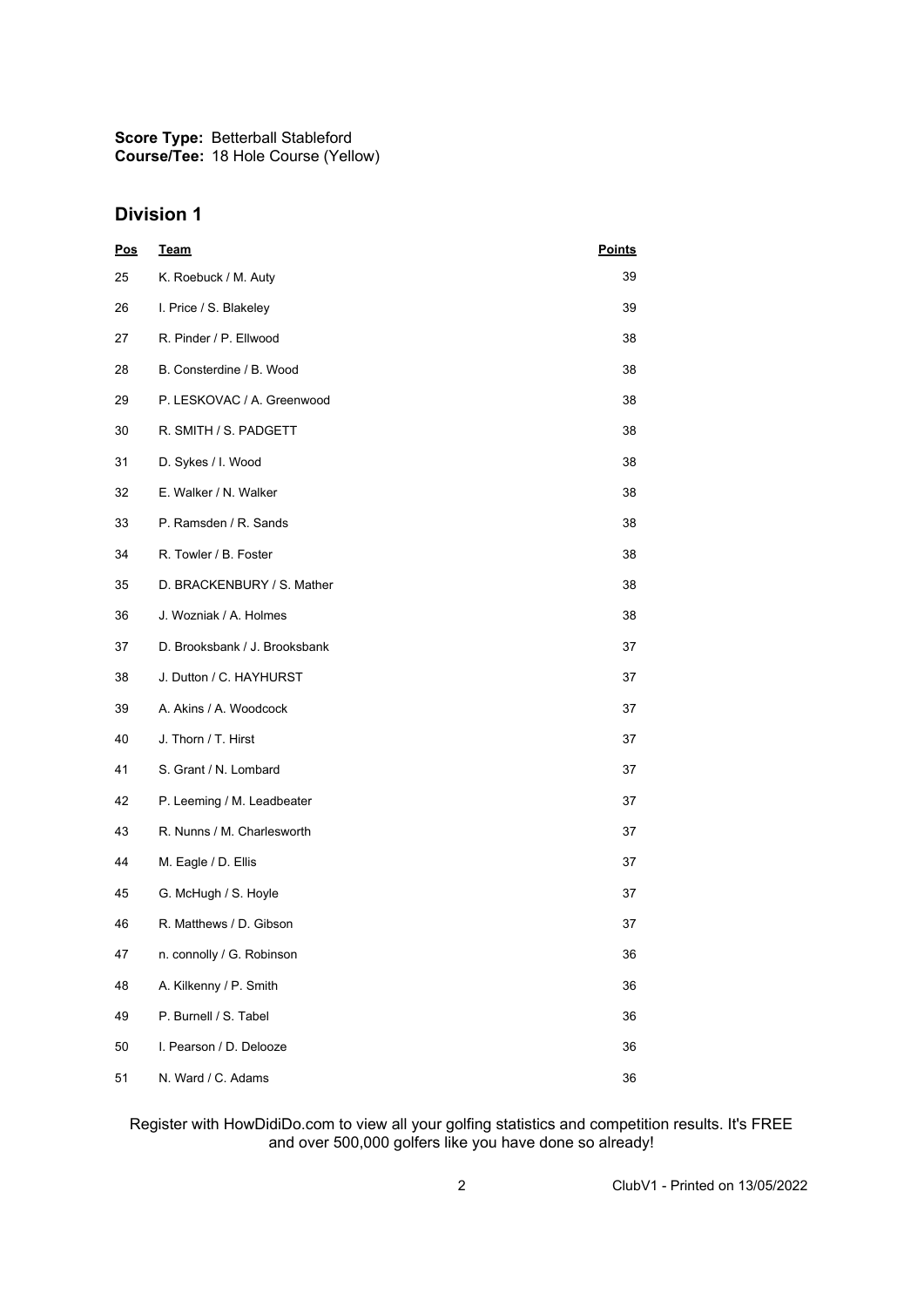**Score Type: Course/Tee:** Betterball Stableford 18 Hole Course (Yellow)

## **Division 1**

| <u>Pos</u> | <b>Team</b>                   | <b>Points</b> |
|------------|-------------------------------|---------------|
| 25         | K. Roebuck / M. Auty          | 39            |
| 26         | I. Price / S. Blakeley        | 39            |
| 27         | R. Pinder / P. Ellwood        | 38            |
| 28         | B. Consterdine / B. Wood      | 38            |
| 29         | P. LESKOVAC / A. Greenwood    | 38            |
| 30         | R. SMITH / S. PADGETT         | 38            |
| 31         | D. Sykes / I. Wood            | 38            |
| 32         | E. Walker / N. Walker         | 38            |
| 33         | P. Ramsden / R. Sands         | 38            |
| 34         | R. Towler / B. Foster         | 38            |
| 35         | D. BRACKENBURY / S. Mather    | 38            |
| 36         | J. Wozniak / A. Holmes        | 38            |
| 37         | D. Brooksbank / J. Brooksbank | 37            |
| 38         | J. Dutton / C. HAYHURST       | 37            |
| 39         | A. Akins / A. Woodcock        | 37            |
| 40         | J. Thorn / T. Hirst           | 37            |
| 41         | S. Grant / N. Lombard         | 37            |
| 42         | P. Leeming / M. Leadbeater    | 37            |
| 43         | R. Nunns / M. Charlesworth    | 37            |
| 44         | M. Eagle / D. Ellis           | 37            |
| 45         | G. McHugh / S. Hoyle          | 37            |
| 46         | R. Matthews / D. Gibson       | 37            |
| 47         | n. connolly / G. Robinson     | 36            |
| 48         | A. Kilkenny / P. Smith        | 36            |
| 49         | P. Burnell / S. Tabel         | 36            |
| 50         | I. Pearson / D. Delooze       | 36            |
| 51         | N. Ward / C. Adams            | 36            |

#### Register with HowDidiDo.com to view all your golfing statistics and competition results. It's FREE and over 500,000 golfers like you have done so already!